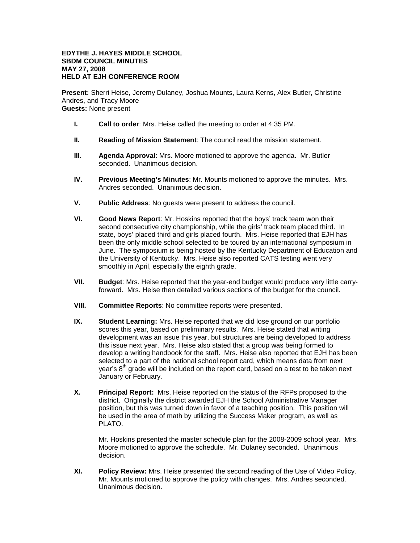## **EDYTHE J. HAYES MIDDLE SCHOOL SBDM COUNCIL MINUTES MAY 27, 2008 HELD AT EJH CONFERENCE ROOM**

**Present:** Sherri Heise, Jeremy Dulaney, Joshua Mounts, Laura Kerns, Alex Butler, Christine Andres, and Tracy Moore **Guests:** None present

- **I. Call to order**: Mrs. Heise called the meeting to order at 4:35 PM.
- **II. Reading of Mission Statement**: The council read the mission statement.
- **III. Agenda Approval**: Mrs. Moore motioned to approve the agenda. Mr. Butler seconded. Unanimous decision.
- **IV. Previous Meeting's Minutes**: Mr. Mounts motioned to approve the minutes. Mrs. Andres seconded. Unanimous decision.
- **V. Public Address**: No guests were present to address the council.
- **VI. Good News Report**: Mr. Hoskins reported that the boys' track team won their second consecutive city championship, while the girls' track team placed third. In state, boys' placed third and girls placed fourth. Mrs. Heise reported that EJH has been the only middle school selected to be toured by an international symposium in June. The symposium is being hosted by the Kentucky Department of Education and the University of Kentucky. Mrs. Heise also reported CATS testing went very smoothly in April, especially the eighth grade.
- **VII. Budget**: Mrs. Heise reported that the year-end budget would produce very little carryforward. Mrs. Heise then detailed various sections of the budget for the council.
- **VIII. Committee Reports**: No committee reports were presented.
- **IX. Student Learning:** Mrs. Heise reported that we did lose ground on our portfolio scores this year, based on preliminary results. Mrs. Heise stated that writing development was an issue this year, but structures are being developed to address this issue next year. Mrs. Heise also stated that a group was being formed to develop a writing handbook for the staff. Mrs. Heise also reported that EJH has been selected to a part of the national school report card, which means data from next year's  $8<sup>th</sup>$  grade will be included on the report card, based on a test to be taken next January or February.
- **X. Principal Report:** Mrs. Heise reported on the status of the RFPs proposed to the district. Originally the district awarded EJH the School Administrative Manager position, but this was turned down in favor of a teaching position. This position will be used in the area of math by utilizing the Success Maker program, as well as PLATO.

Mr. Hoskins presented the master schedule plan for the 2008-2009 school year. Mrs. Moore motioned to approve the schedule. Mr. Dulaney seconded. Unanimous decision.

**XI. Policy Review:** Mrs. Heise presented the second reading of the Use of Video Policy. Mr. Mounts motioned to approve the policy with changes. Mrs. Andres seconded. Unanimous decision.